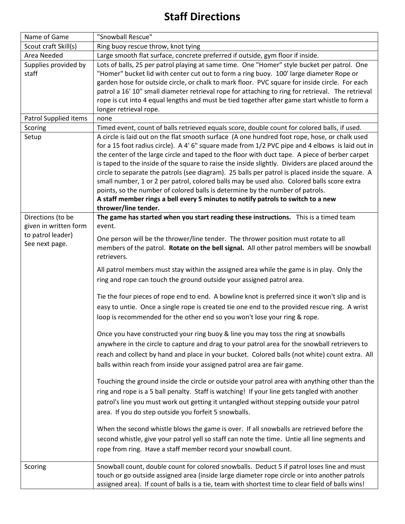## **Staff Directions**

| Name of Game                        | "Snowball Rescue"                                                                                                                                                                                                                                                                                                                                                                                                                                                                                                                                                                                                                                                                                                                                                                                      |
|-------------------------------------|--------------------------------------------------------------------------------------------------------------------------------------------------------------------------------------------------------------------------------------------------------------------------------------------------------------------------------------------------------------------------------------------------------------------------------------------------------------------------------------------------------------------------------------------------------------------------------------------------------------------------------------------------------------------------------------------------------------------------------------------------------------------------------------------------------|
| Scout craft Skill(s)                | Ring buoy rescue throw, knot tying                                                                                                                                                                                                                                                                                                                                                                                                                                                                                                                                                                                                                                                                                                                                                                     |
| Area Needed                         | Large smooth flat surface, concrete preferred if outside, gym floor if inside.                                                                                                                                                                                                                                                                                                                                                                                                                                                                                                                                                                                                                                                                                                                         |
| Supplies provided by                | Lots of balls, 25 per patrol playing at same time. One "Homer" style bucket per patrol. One                                                                                                                                                                                                                                                                                                                                                                                                                                                                                                                                                                                                                                                                                                            |
| staff                               | "Homer" bucket lid with center cut out to form a ring buoy. 100' large diameter Rope or<br>garden hose for outside circle, or chalk to mark floor. PVC square for inside circle. For each<br>patrol a 16' 10" small diameter retrieval rope for attaching to ring for retrieval. The retrieval<br>rope is cut into 4 equal lengths and must be tied together after game start whistle to form a<br>longer retrieval rope.                                                                                                                                                                                                                                                                                                                                                                              |
| Patrol Supplied items               | none                                                                                                                                                                                                                                                                                                                                                                                                                                                                                                                                                                                                                                                                                                                                                                                                   |
| Scoring                             | Timed event, count of balls retrieved equals score, double count for colored balls, if used.                                                                                                                                                                                                                                                                                                                                                                                                                                                                                                                                                                                                                                                                                                           |
| Setup                               | A circle is laid out on the flat smooth surface (A one hundred foot rope, hose, or chalk used<br>for a 15 foot radius circle). A 4' 6" square made from 1/2 PVC pipe and 4 elbows is laid out in<br>the center of the large circle and taped to the floor with duct tape. A piece of berber carpet<br>is taped to the inside of the square to raise the inside slightly. Dividers are placed around the<br>circle to separate the patrols (see diagram). 25 balls per patrol is placed inside the square. A<br>small number, 1 or 2 per patrol, colored balls may be used also. Colored balls score extra<br>points, so the number of colored balls is determine by the number of patrols.<br>A staff member rings a bell every 5 minutes to notify patrols to switch to a new<br>thrower/line tender. |
| Directions (to be                   | The game has started when you start reading these instructions. This is a timed team                                                                                                                                                                                                                                                                                                                                                                                                                                                                                                                                                                                                                                                                                                                   |
| given in written form               | event.                                                                                                                                                                                                                                                                                                                                                                                                                                                                                                                                                                                                                                                                                                                                                                                                 |
| to patrol leader)<br>See next page. | One person will be the thrower/line tender. The thrower position must rotate to all<br>members of the patrol. Rotate on the bell signal. All other patrol members will be snowball<br>retrievers.                                                                                                                                                                                                                                                                                                                                                                                                                                                                                                                                                                                                      |
|                                     | All patrol members must stay within the assigned area while the game is in play. Only the<br>ring and rope can touch the ground outside your assigned patrol area.                                                                                                                                                                                                                                                                                                                                                                                                                                                                                                                                                                                                                                     |
|                                     | Tie the four pieces of rope end to end. A bowline knot is preferred since it won't slip and is<br>easy to untie. Once a single rope is created tie one end to the provided rescue ring. A wrist<br>loop is recommended for the other end so you won't lose your ring & rope.                                                                                                                                                                                                                                                                                                                                                                                                                                                                                                                           |
|                                     | Once you have constructed your ring buoy & line you may toss the ring at snowballs<br>anywhere in the circle to capture and drag to your patrol area for the snowball retrievers to<br>reach and collect by hand and place in your bucket. Colored balls (not white) count extra. All<br>balls within reach from inside your assigned patrol area are fair game.                                                                                                                                                                                                                                                                                                                                                                                                                                       |
|                                     | Touching the ground inside the circle or outside your patrol area with anything other than the<br>ring and rope is a 5 ball penalty. Staff is watching! If your line gets tangled with another<br>patrol's line you must work out getting it untangled without stepping outside your patrol<br>area. If you do step outside you forfeit 5 snowballs.                                                                                                                                                                                                                                                                                                                                                                                                                                                   |
|                                     | When the second whistle blows the game is over. If all snowballs are retrieved before the<br>second whistle, give your patrol yell so staff can note the time. Untie all line segments and<br>rope from ring. Have a staff member record your snowball count.                                                                                                                                                                                                                                                                                                                                                                                                                                                                                                                                          |
| Scoring                             | Snowball count, double count for colored snowballs. Deduct 5 if patrol loses line and must<br>touch or go outside assigned area (inside large diameter rope circle or into another patrols<br>assigned area). If count of balls is a tie, team with shortest time to clear field of balls wins!                                                                                                                                                                                                                                                                                                                                                                                                                                                                                                        |